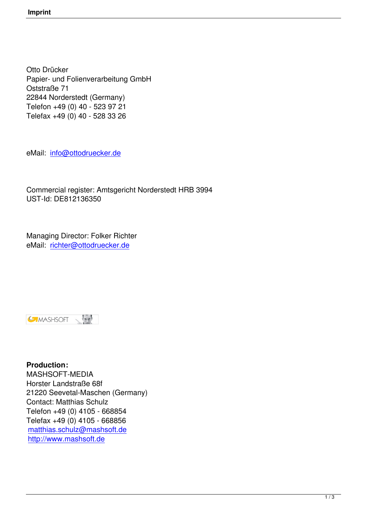Otto Drücker Papier- und Folienverarbeitung GmbH Oststraße 71 22844 Norderstedt (Germany) Telefon +49 (0) 40 - 523 97 21 Telefax +49 (0) 40 - 528 33 26

eMail: info@ottodruecker.de

Comm[ercial register: Amtsge](mailto:info@ottodruecker.de)richt Norderstedt HRB 3994 UST-Id: DE812136350

Managing Director: Folker Richter eMail: richter@ottodruecker.de



**Production:** MASHSOFT-MEDIA Horster Landstraße 68f 21220 Seevetal-Maschen (Germany) Contact: Matthias Schulz Telefon +49 (0) 4105 - 668854 Telefax +49 (0) 4105 - 668856 matthias.schulz@mashsoft.de http://www.mashsoft.de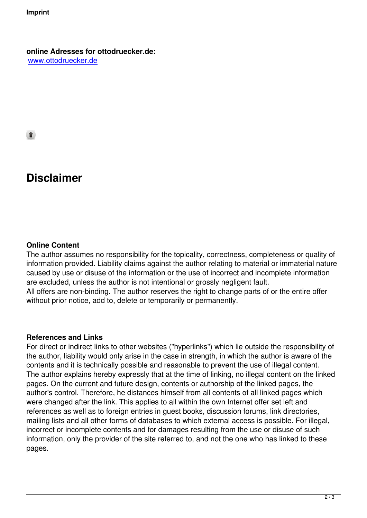ੁ

# **Disclaimer**

#### **Online Content**

The author assumes no responsibility for the topicality, correctness, completeness or quality of information provided. Liability claims against the author relating to material or immaterial nature caused by use or disuse of the information or the use of incorrect and incomplete information are excluded, unless the author is not intentional or grossly negligent fault. All offers are non-binding. The author reserves the right to change parts of or the entire offer without prior notice, add to, delete or temporarily or permanently.

#### **References and Links**

For direct or indirect links to other websites ("hyperlinks") which lie outside the responsibility of the author, liability would only arise in the case in strength, in which the author is aware of the contents and it is technically possible and reasonable to prevent the use of illegal content. The author explains hereby expressly that at the time of linking, no illegal content on the linked pages. On the current and future design, contents or authorship of the linked pages, the author's control. Therefore, he distances himself from all contents of all linked pages which were changed after the link. This applies to all within the own Internet offer set left and references as well as to foreign entries in guest books, discussion forums, link directories, mailing lists and all other forms of databases to which external access is possible. For illegal, incorrect or incomplete contents and for damages resulting from the use or disuse of such information, only the provider of the site referred to, and not the one who has linked to these pages.